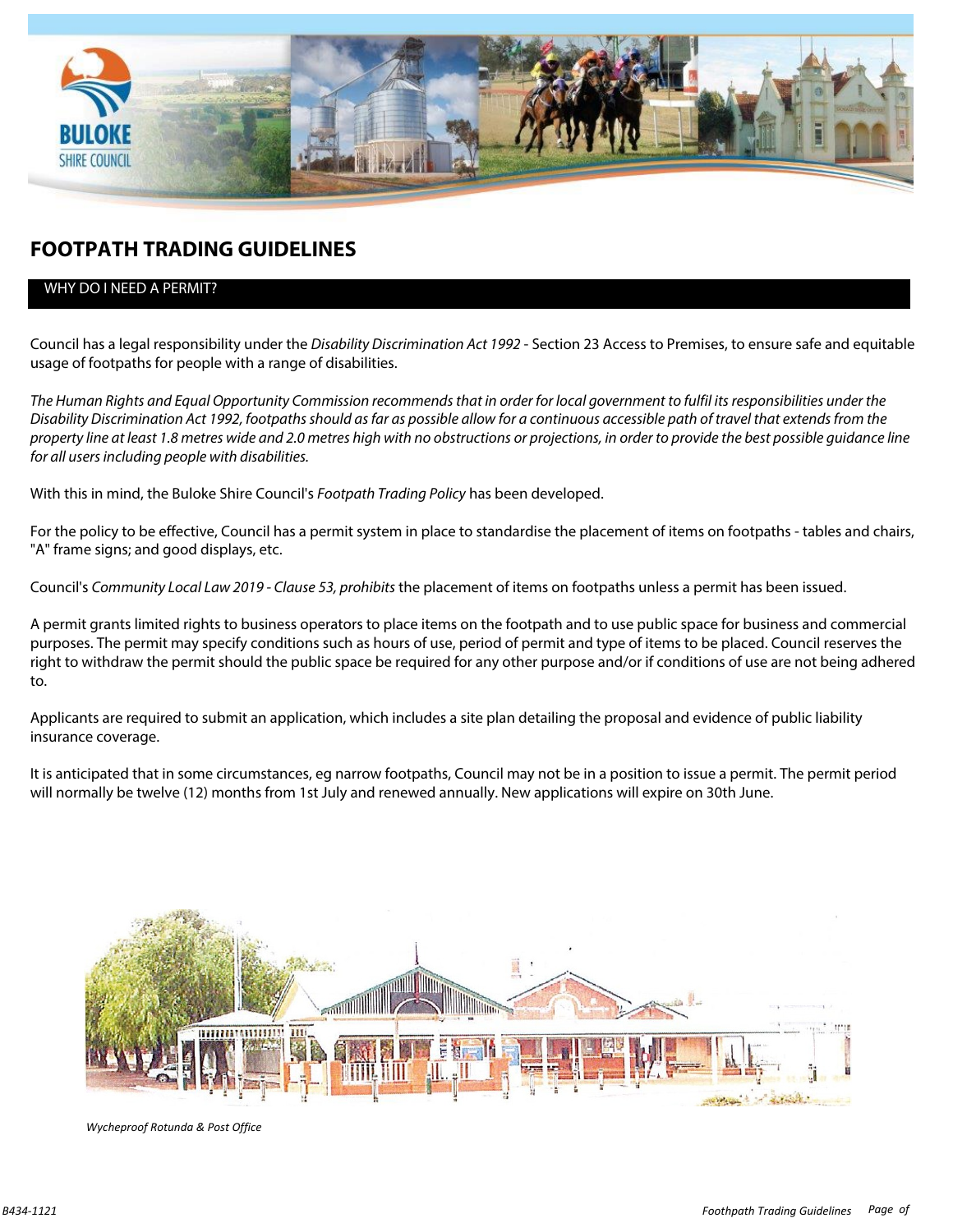

### **FOOTPATH TRADING GUIDELINES**

### WHY DO I NEED A PERMIT?

Council has a legal responsibility under the *Disability Discrimination Act 1992* - Section 23 Access to Premises, to ensure safe and equitable usage of footpaths for people with a range of disabilities.

*The Human Rights and Equal Opportunity Commission recommends that in order for local government to fulfil its responsibilities under the Disability Discrimination Act 1992, footpaths should as far as possible allow for a continuous accessible path of travel that extends from the property line at least 1.8 metres wide and 2.0 metres high with no obstructions or projections, in order to provide the best possible guidance line for all users including people with disabilities.* 

With this in mind, the Buloke Shire Council's *Footpath Trading Policy* has been developed.

For the policy to be effective, Council has a permit system in place to standardise the placement of items on footpaths - tables and chairs, "A" frame signs; and good displays, etc.

Council's *Community Local Law 2019 - Clause 53, prohibits* the placement of items on footpaths unless a permit has been issued.

A permit grants limited rights to business operators to place items on the footpath and to use public space for business and commercial purposes. The permit may specify conditions such as hours of use, period of permit and type of items to be placed. Council reserves the right to withdraw the permit should the public space be required for any other purpose and/or if conditions of use are not being adhered to.

Applicants are required to submit an application, which includes a site plan detailing the proposal and evidence of public liability insurance coverage.

It is anticipated that in some circumstances, eg narrow footpaths, Council may not be in a position to issue a permit. The permit period will normally be twelve (12) months from 1st July and renewed annually. New applications will expire on 30th June.



*Wycheproof Rotunda & Post Office*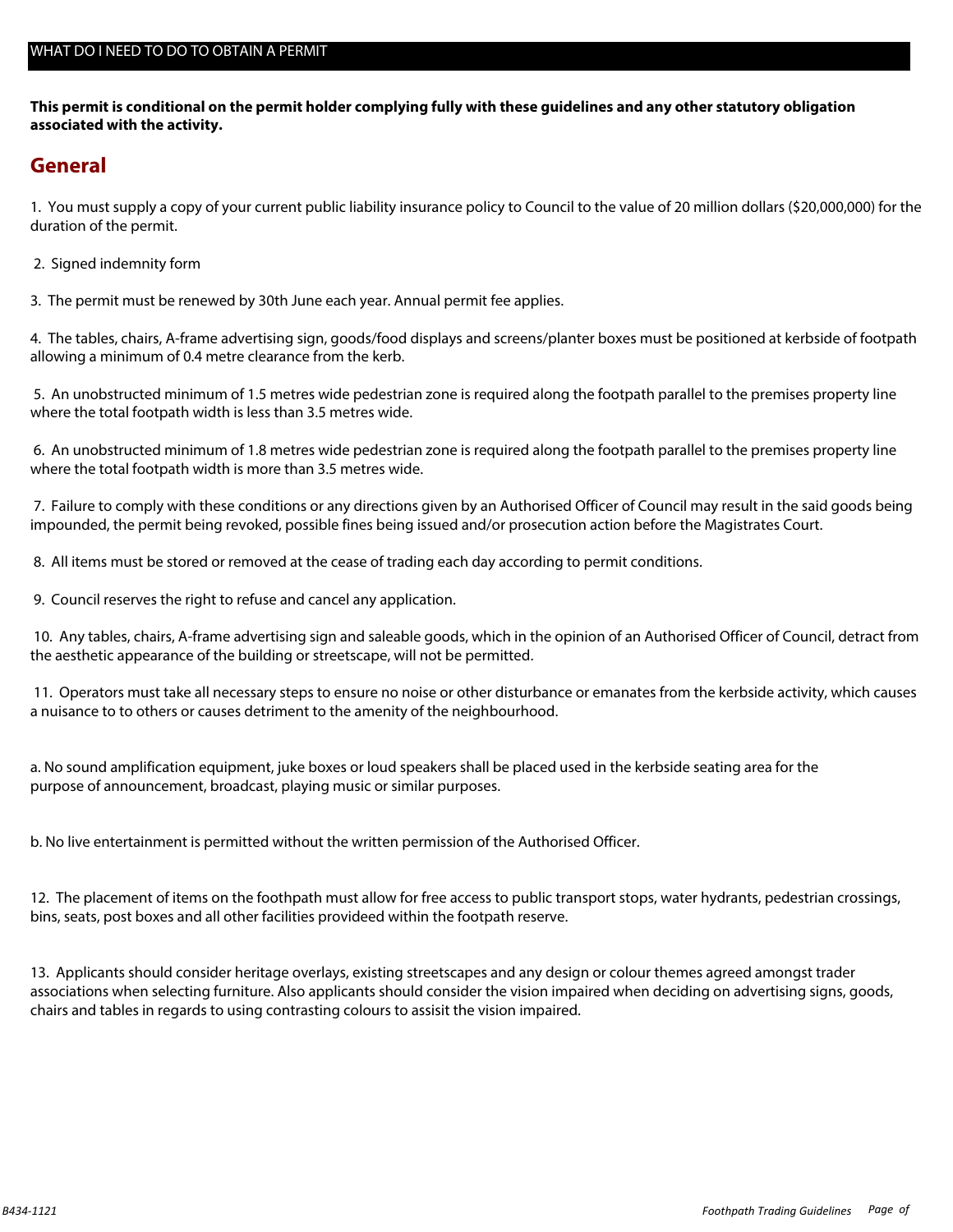**This permit is conditional on the permit holder complying fully with these guidelines and any other statutory obligation associated with the activity.** 

### **General**

1. You must supply a copy of your current public liability insurance policy to Council to the value of 20 million dollars (\$20,000,000) for the duration of the permit.

2. Signed indemnity form

3. The permit must be renewed by 30th June each year. Annual permit fee applies.

4. The tables, chairs, A-frame advertising sign, goods/food displays and screens/planter boxes must be positioned at kerbside of footpath allowing a minimum of 0.4 metre clearance from the kerb.

 5. An unobstructed minimum of 1.5 metres wide pedestrian zone is required along the footpath parallel to the premises property line where the total footpath width is less than 3.5 metres wide.

 6. An unobstructed minimum of 1.8 metres wide pedestrian zone is required along the footpath parallel to the premises property line where the total footpath width is more than 3.5 metres wide.

 7. Failure to comply with these conditions or any directions given by an Authorised Officer of Council may result in the said goods being impounded, the permit being revoked, possible fines being issued and/or prosecution action before the Magistrates Court.

8. All items must be stored or removed at the cease of trading each day according to permit conditions.

9. Council reserves the right to refuse and cancel any application.

 10. Any tables, chairs, A-frame advertising sign and saleable goods, which in the opinion of an Authorised Officer of Council, detract from the aesthetic appearance of the building or streetscape, will not be permitted.

 11. Operators must take all necessary steps to ensure no noise or other disturbance or emanates from the kerbside activity, which causes a nuisance to to others or causes detriment to the amenity of the neighbourhood.

a. No sound amplification equipment, juke boxes or loud speakers shall be placed used in the kerbside seating area for the purpose of announcement, broadcast, playing music or similar purposes.

b. No live entertainment is permitted without the written permission of the Authorised Officer.

12. The placement of items on the foothpath must allow for free access to public transport stops, water hydrants, pedestrian crossings, bins, seats, post boxes and all other facilities provideed within the footpath reserve.

13. Applicants should consider heritage overlays, existing streetscapes and any design or colour themes agreed amongst trader associations when selecting furniture. Also applicants should consider the vision impaired when deciding on advertising signs, goods, chairs and tables in regards to using contrasting colours to assisit the vision impaired.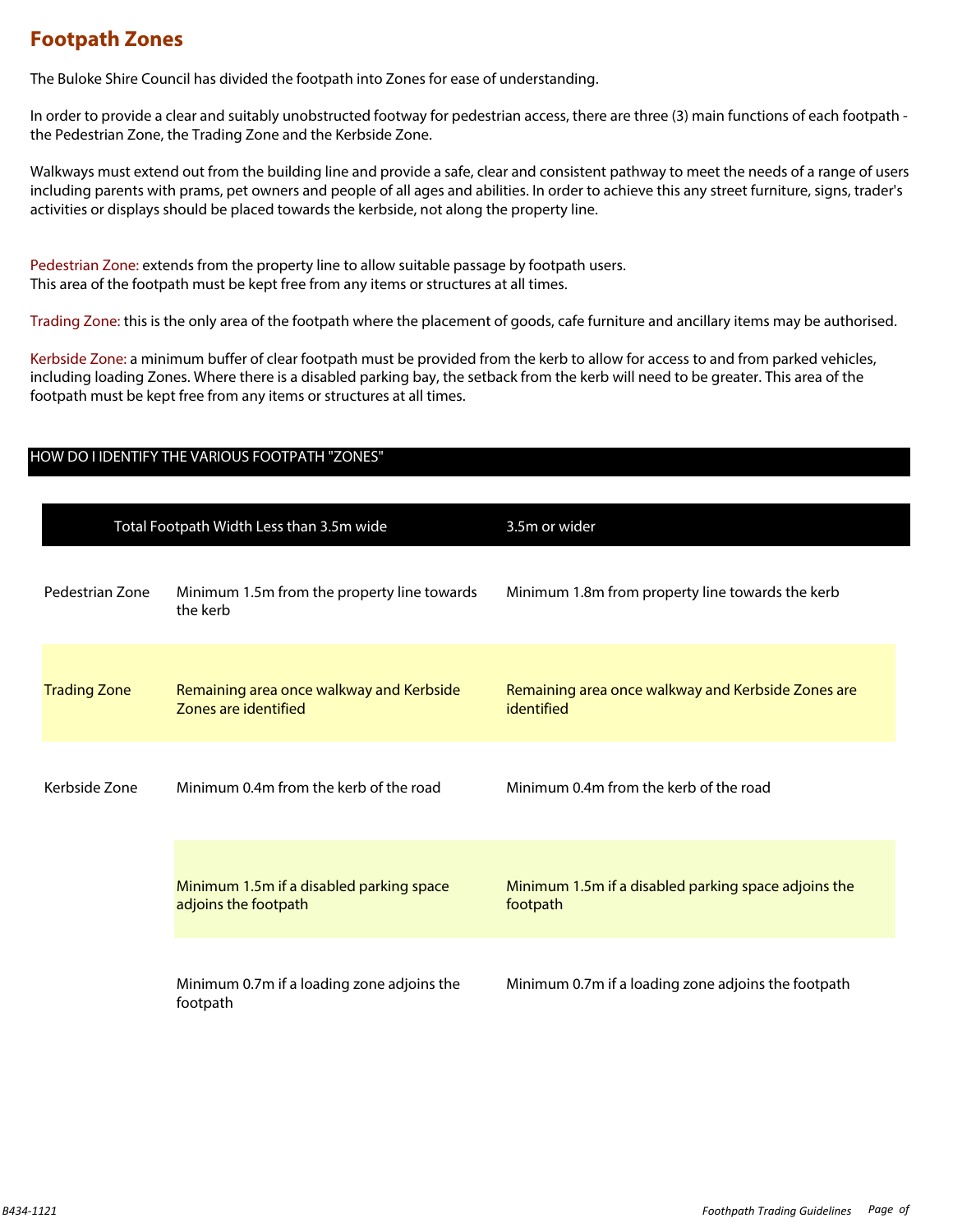### **Footpath Zones**

The Buloke Shire Council has divided the footpath into Zones for ease of understanding.

In order to provide a clear and suitably unobstructed footway for pedestrian access, there are three (3) main functions of each footpath the Pedestrian Zone, the Trading Zone and the Kerbside Zone.

Walkways must extend out from the building line and provide a safe, clear and consistent pathway to meet the needs of a range of users including parents with prams, pet owners and people of all ages and abilities. In order to achieve this any street furniture, signs, trader's activities or displays should be placed towards the kerbside, not along the property line.

Pedestrian Zone: extends from the property line to allow suitable passage by footpath users. This area of the footpath must be kept free from any items or structures at all times.

Trading Zone: this is the only area of the footpath where the placement of goods, cafe furniture and ancillary items may be authorised.

Kerbside Zone: a minimum buffer of clear footpath must be provided from the kerb to allow for access to and from parked vehicles, including loading Zones. Where there is a disabled parking bay, the setback from the kerb will need to be greater. This area of the footpath must be kept free from any items or structures at all times.

| Total Footpath Width Less than 3.5m wide |                                                                  | 3.5m or wider                                                    |  |
|------------------------------------------|------------------------------------------------------------------|------------------------------------------------------------------|--|
| Pedestrian Zone                          | Minimum 1.5m from the property line towards<br>the kerb          | Minimum 1.8m from property line towards the kerb                 |  |
| <b>Trading Zone</b>                      | Remaining area once walkway and Kerbside<br>Zones are identified | Remaining area once walkway and Kerbside Zones are<br>identified |  |
| Kerbside Zone                            | Minimum 0.4m from the kerb of the road                           | Minimum 0.4m from the kerb of the road                           |  |
|                                          | Minimum 1.5m if a disabled parking space<br>adjoins the footpath | Minimum 1.5m if a disabled parking space adjoins the<br>footpath |  |
|                                          | Minimum 0.7m if a loading zone adjoins the<br>footpath           | Minimum 0.7m if a loading zone adjoins the footpath              |  |

### HOW DO I IDENTIFY THE VARIOUS FOOTPATH "ZONES"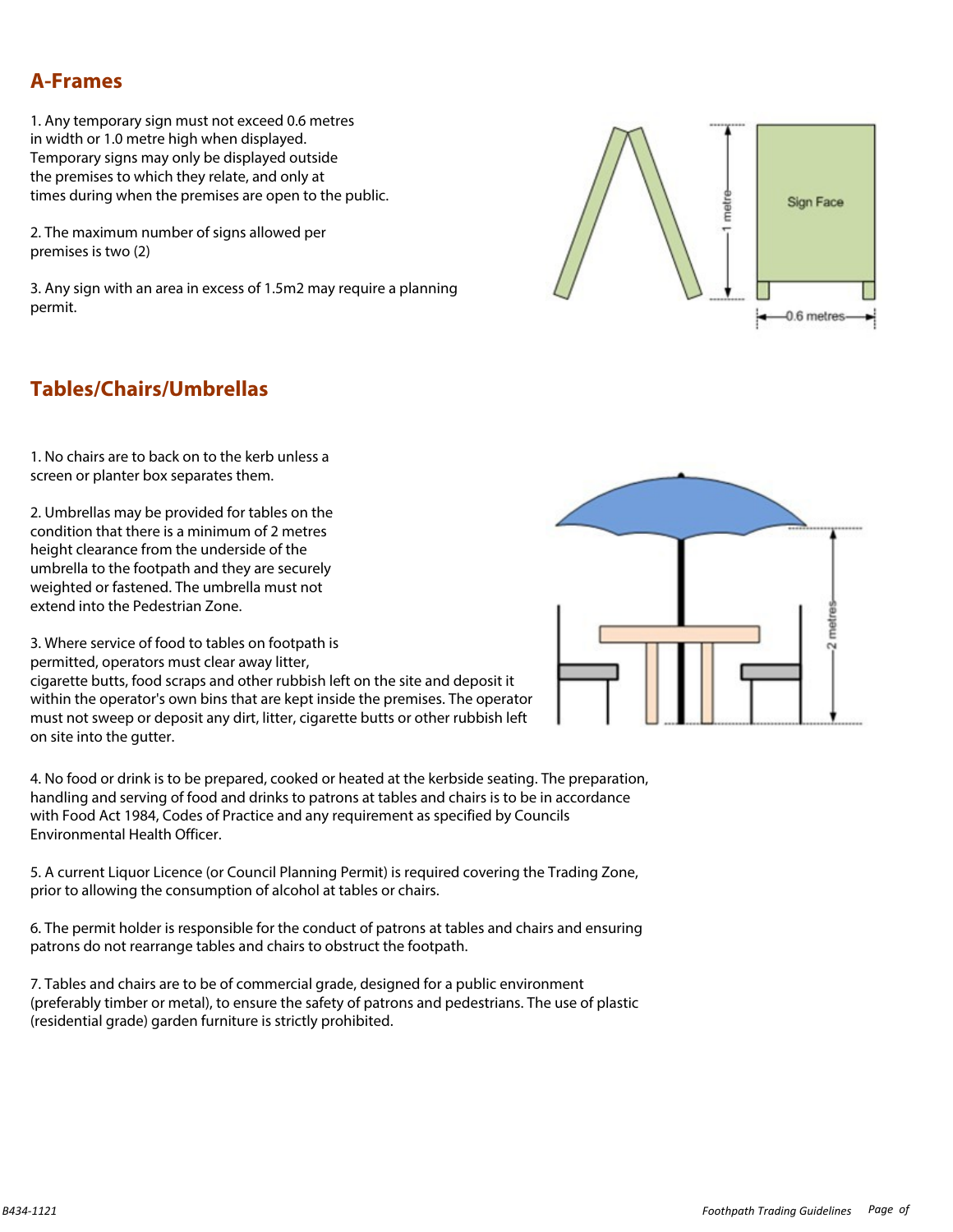### **A-Frames**

1. Any temporary sign must not exceed 0.6 metres in width or 1.0 metre high when displayed. Temporary signs may only be displayed outside the premises to which they relate, and only at times during when the premises are open to the public.

2. The maximum number of signs allowed per premises is two (2)

3. Any sign with an area in excess of 1.5m2 may require a planning permit.



## **Tables/Chairs/Umbrellas**

1. No chairs are to back on to the kerb unless a screen or planter box separates them.

2. Umbrellas may be provided for tables on the condition that there is a minimum of 2 metres height clearance from the underside of the umbrella to the footpath and they are securely weighted or fastened. The umbrella must not extend into the Pedestrian Zone.

3. Where service of food to tables on footpath is permitted, operators must clear away litter,

cigarette butts, food scraps and other rubbish left on the site and deposit it within the operator's own bins that are kept inside the premises. The operator must not sweep or deposit any dirt, litter, cigarette butts or other rubbish left on site into the gutter.

4. No food or drink is to be prepared, cooked or heated at the kerbside seating. The preparation, handling and serving of food and drinks to patrons at tables and chairs is to be in accordance with Food Act 1984, Codes of Practice and any requirement as specified by Councils Environmental Health Officer.

5. A current Liquor Licence (or Council Planning Permit) is required covering the Trading Zone, prior to allowing the consumption of alcohol at tables or chairs.

6. The permit holder is responsible for the conduct of patrons at tables and chairs and ensuring patrons do not rearrange tables and chairs to obstruct the footpath.

7. Tables and chairs are to be of commercial grade, designed for a public environment (preferably timber or metal), to ensure the safety of patrons and pedestrians. The use of plastic (residential grade) garden furniture is strictly prohibited.

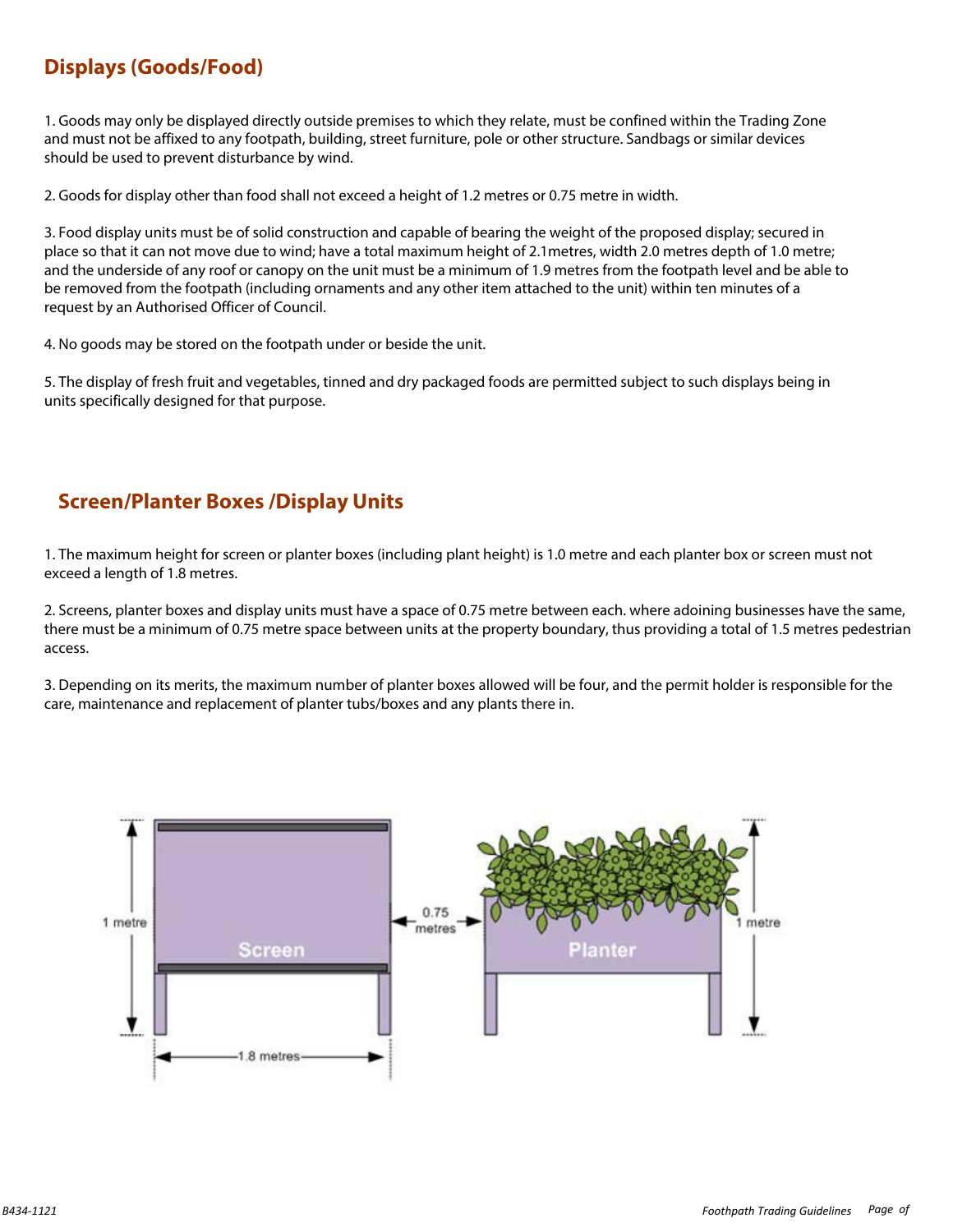# **Displays (Goods/Food)**

1. Goods may only be displayed directly outside premises to which they relate, must be confined within the Trading Zone and must not be affixed to any footpath, building, street furniture, pole or other structure. Sandbags or similar devices should be used to prevent disturbance by wind.

2. Goods for display other than food shall not exceed a height of 1.2 metres or 0.75 metre in width.

3. Food display units must be of solid construction and capable of bearing the weight of the proposed display; secured in place so that it can not move due to wind; have a total maximum height of 2.1metres, width 2.0 metres depth of 1.0 metre; and the underside of any roof or canopy on the unit must be a minimum of 1.9 metres from the footpath level and be able to be removed from the footpath (including ornaments and any other item attached to the unit) within ten minutes of a request by an Authorised Officer of Council.

4. No goods may be stored on the footpath under or beside the unit.

5. The display of fresh fruit and vegetables, tinned and dry packaged foods are permitted subject to such displays being in units specifically designed for that purpose.

### **Screen/Planter Boxes /Display Units**

1. The maximum height for screen or planter boxes (including plant height) is 1.0 metre and each planter box or screen must not exceed a length of 1.8 metres.

2. Screens, planter boxes and display units must have a space of 0.75 metre between each. where adoining businesses have the same, there must be a minimum of 0.75 metre space between units at the property boundary, thus providing a total of 1.5 metres pedestrian access.

3. Depending on its merits, the maximum number of planter boxes allowed will be four, and the permit holder is responsible for the care, maintenance and replacement of planter tubs/boxes and any plants there in.

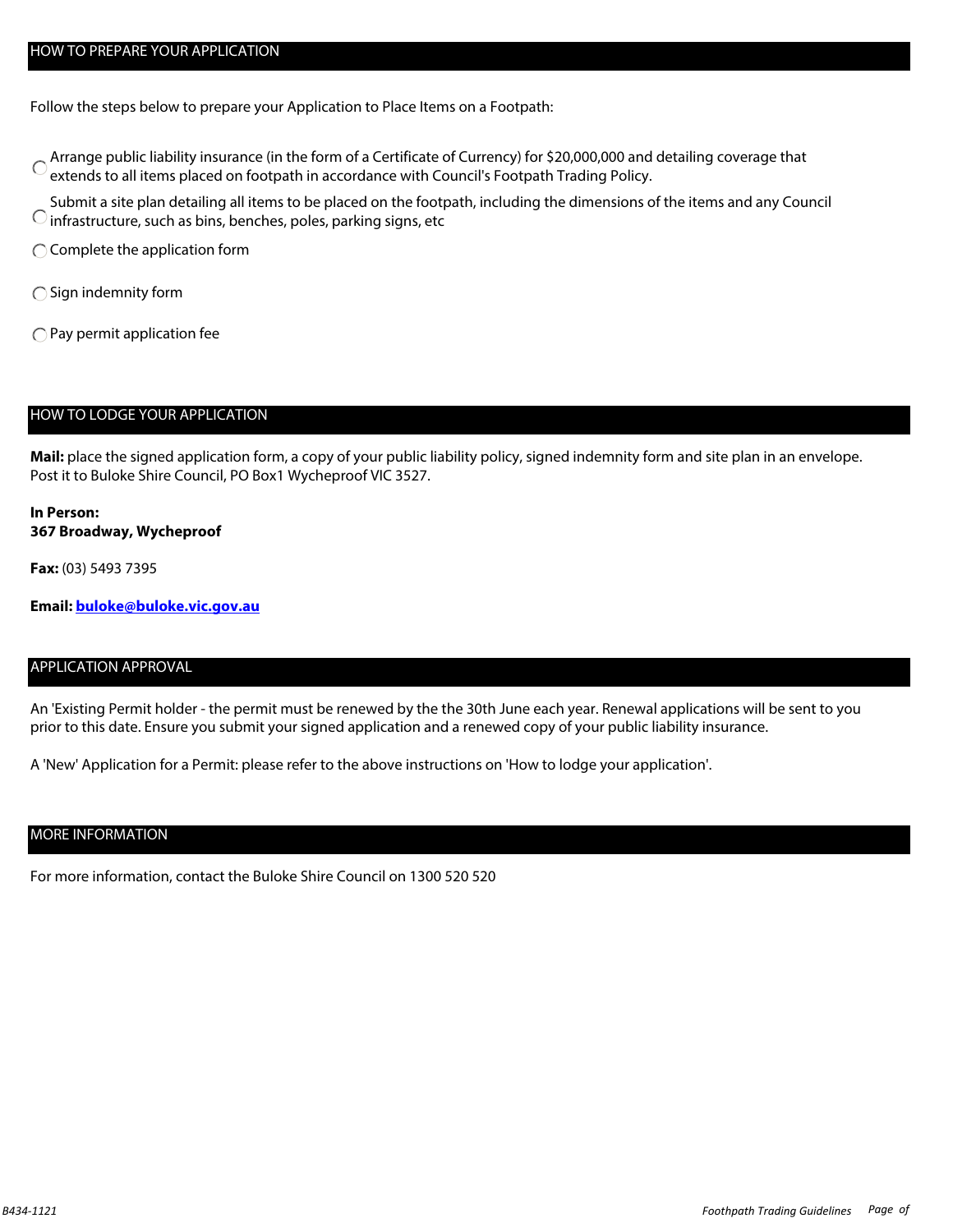### HOW TO PREPARE YOUR APPLICATION

Follow the steps below to prepare your Application to Place Items on a Footpath:

- Arrange public liability insurance (in the form of a Certificate of Currency) for \$20,000,000 and detailing coverage that Corrency extends to all items placed on footpath in accordance with Council's Footpath Trading Policy.
- Submit a site plan detailing all items to be placed on the footpath, including the dimensions of the items and any Council  $\bigcirc$  infrastructure, such as bins, benches, poles, parking signs, etc
- $\bigcap$  Complete the application form
- $\bigcap$  Sign indemnity form
- $\bigcirc$  Pay permit application fee

#### HOW TO LODGE YOUR APPLICATION

**Mail:** place the signed application form, a copy of your public liability policy, signed indemnity form and site plan in an envelope. Post it to Buloke Shire Council, PO Box1 Wycheproof VIC 3527.

#### **In Person: 367 Broadway, Wycheproof**

**Fax:** (03) 5493 7395

**Email: [buloke@buloke.vic.gov.au](mailto:buloke@buloke.vic.gov.au?subject=Returned%20Form%3a%20Footpath%20Trading%20Guidelines%20B434)**

### APPLICATION APPROVAL

An 'Existing Permit holder - the permit must be renewed by the the 30th June each year. Renewal applications will be sent to you prior to this date. Ensure you submit your signed application and a renewed copy of your public liability insurance.

A 'New' Application for a Permit: please refer to the above instructions on 'How to lodge your application'.

### MORE INFORMATION

For more information, contact the Buloke Shire Council on 1300 520 520